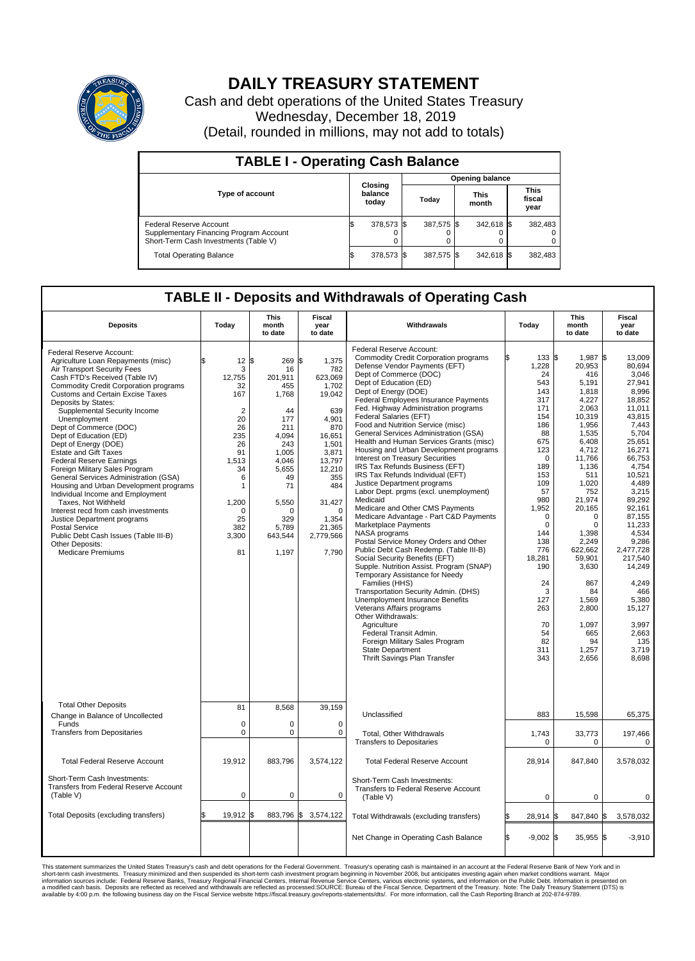

## **DAILY TREASURY STATEMENT**

Cash and debt operations of the United States Treasury Wednesday, December 18, 2019 (Detail, rounded in millions, may not add to totals)

| <b>TABLE I - Operating Cash Balance</b>                                                                     |                             |            |       |                        |                      |            |                               |         |  |  |  |
|-------------------------------------------------------------------------------------------------------------|-----------------------------|------------|-------|------------------------|----------------------|------------|-------------------------------|---------|--|--|--|
|                                                                                                             |                             |            |       | <b>Opening balance</b> |                      |            |                               |         |  |  |  |
| <b>Type of account</b>                                                                                      | Closing<br>balance<br>today |            | Today |                        | <b>This</b><br>month |            | <b>This</b><br>fiscal<br>year |         |  |  |  |
| Federal Reserve Account<br>Supplementary Financing Program Account<br>Short-Term Cash Investments (Table V) |                             | 378,573 \$ |       | 387,575 \$             |                      | 342,618 \$ |                               | 382,483 |  |  |  |
| <b>Total Operating Balance</b>                                                                              | ıъ                          | 378,573 \$ |       | 387,575 \$             |                      | 342,618 \$ |                               | 382,483 |  |  |  |

## **TABLE II - Deposits and Withdrawals of Operating Cash**

| <b>Deposits</b>                                                                                                                                                                                                                                                                                                                                                                                                                                                                                                                                                                                                                                                                                                                                                                                                         | Today                                                                                                                                                                                          | <b>This</b><br>month<br>to date                                                                                                                                          | <b>Fiscal</b><br>year<br>to date                                                                                                                                                                         | Withdrawals                                                                                                                                                                                                                                                                                                                                                                                                                                                                                                                                                                                                                                                                                                                                                                                                                                                                                                                                                                                                                                                                                                                                                                                                                                                                                   | Today                                                                                                                                                                                                                                                              | <b>This</b><br>month<br>to date                                                                                                                                                                                                                                                                                | Fiscal<br>year<br>to date                                                                                                                                                                                                                                                                                                                        |
|-------------------------------------------------------------------------------------------------------------------------------------------------------------------------------------------------------------------------------------------------------------------------------------------------------------------------------------------------------------------------------------------------------------------------------------------------------------------------------------------------------------------------------------------------------------------------------------------------------------------------------------------------------------------------------------------------------------------------------------------------------------------------------------------------------------------------|------------------------------------------------------------------------------------------------------------------------------------------------------------------------------------------------|--------------------------------------------------------------------------------------------------------------------------------------------------------------------------|----------------------------------------------------------------------------------------------------------------------------------------------------------------------------------------------------------|-----------------------------------------------------------------------------------------------------------------------------------------------------------------------------------------------------------------------------------------------------------------------------------------------------------------------------------------------------------------------------------------------------------------------------------------------------------------------------------------------------------------------------------------------------------------------------------------------------------------------------------------------------------------------------------------------------------------------------------------------------------------------------------------------------------------------------------------------------------------------------------------------------------------------------------------------------------------------------------------------------------------------------------------------------------------------------------------------------------------------------------------------------------------------------------------------------------------------------------------------------------------------------------------------|--------------------------------------------------------------------------------------------------------------------------------------------------------------------------------------------------------------------------------------------------------------------|----------------------------------------------------------------------------------------------------------------------------------------------------------------------------------------------------------------------------------------------------------------------------------------------------------------|--------------------------------------------------------------------------------------------------------------------------------------------------------------------------------------------------------------------------------------------------------------------------------------------------------------------------------------------------|
| Federal Reserve Account:<br>Agriculture Loan Repayments (misc)<br>Air Transport Security Fees<br>Cash FTD's Received (Table IV)<br><b>Commodity Credit Corporation programs</b><br><b>Customs and Certain Excise Taxes</b><br>Deposits by States:<br>Supplemental Security Income<br>Unemployment<br>Dept of Commerce (DOC)<br>Dept of Education (ED)<br>Dept of Energy (DOE)<br><b>Estate and Gift Taxes</b><br><b>Federal Reserve Earnings</b><br>Foreign Military Sales Program<br>General Services Administration (GSA)<br>Housing and Urban Development programs<br>Individual Income and Employment<br>Taxes. Not Withheld<br>Interest recd from cash investments<br>Justice Department programs<br><b>Postal Service</b><br>Public Debt Cash Issues (Table III-B)<br>Other Deposits:<br><b>Medicare Premiums</b> | $12 \,$ $\uparrow$<br>\$.<br>3<br>12,755<br>32<br>167<br>$\overline{2}$<br>20<br>26<br>235<br>26<br>91<br>1,513<br>34<br>6<br>$\mathbf{1}$<br>1,200<br>$\mathbf 0$<br>25<br>382<br>3,300<br>81 | 269<br>16<br>201.911<br>455<br>1,768<br>44<br>177<br>211<br>4,094<br>243<br>1.005<br>4,046<br>5,655<br>49<br>71<br>5,550<br>$\Omega$<br>329<br>5,789<br>643,544<br>1,197 | l\$<br>1,375<br>782<br>623,069<br>1,702<br>19,042<br>639<br>4.901<br>870<br>16,651<br>1,501<br>3,871<br>13,797<br>12,210<br>355<br>484<br>31,427<br>$\mathbf 0$<br>1,354<br>21,365<br>2,779,566<br>7,790 | Federal Reserve Account:<br><b>Commodity Credit Corporation programs</b><br>Defense Vendor Payments (EFT)<br>Dept of Commerce (DOC)<br>Dept of Education (ED)<br>Dept of Energy (DOE)<br><b>Federal Employees Insurance Payments</b><br>Fed. Highway Administration programs<br>Federal Salaries (EFT)<br>Food and Nutrition Service (misc)<br>General Services Administration (GSA)<br>Health and Human Services Grants (misc)<br>Housing and Urban Development programs<br>Interest on Treasury Securities<br>IRS Tax Refunds Business (EFT)<br>IRS Tax Refunds Individual (EFT)<br>Justice Department programs<br>Labor Dept. prgms (excl. unemployment)<br>Medicaid<br>Medicare and Other CMS Payments<br>Medicare Advantage - Part C&D Payments<br>Marketplace Payments<br>NASA programs<br>Postal Service Money Orders and Other<br>Public Debt Cash Redemp. (Table III-B)<br>Social Security Benefits (EFT)<br>Supple. Nutrition Assist. Program (SNAP)<br>Temporary Assistance for Needy<br>Families (HHS)<br>Transportation Security Admin. (DHS)<br>Unemployment Insurance Benefits<br>Veterans Affairs programs<br>Other Withdrawals:<br>Agriculture<br>Federal Transit Admin.<br>Foreign Military Sales Program<br><b>State Department</b><br><b>Thrift Savings Plan Transfer</b> | 133S<br>1,228<br>24<br>543<br>143<br>317<br>171<br>154<br>186<br>88<br>675<br>123<br>$\Omega$<br>189<br>153<br>109<br>57<br>980<br>1,952<br>$\mathbf 0$<br>$\Omega$<br>144<br>138<br>776<br>18.281<br>190<br>24<br>3<br>127<br>263<br>70<br>54<br>82<br>311<br>343 | 1.987<br>20,953<br>416<br>5,191<br>1,818<br>4,227<br>2,063<br>10,319<br>1,956<br>1,535<br>6,408<br>4,712<br>11,766<br>1,136<br>511<br>1,020<br>752<br>21,974<br>20,165<br>0<br>$\Omega$<br>1.398<br>2,249<br>622,662<br>59,901<br>3,630<br>867<br>84<br>1,569<br>2,800<br>1,097<br>665<br>94<br>1,257<br>2,656 | l\$<br>13.009<br>80.694<br>3,046<br>27,941<br>8,996<br>18.852<br>11,011<br>43,815<br>7.443<br>5.704<br>25,651<br>16,271<br>66.753<br>4,754<br>10,521<br>4,489<br>3,215<br>89,292<br>92,161<br>87,155<br>11,233<br>4.534<br>9,286<br>2.477.728<br>217.540<br>14,249<br>4,249<br>466<br>5,380<br>15,127<br>3.997<br>2,663<br>135<br>3.719<br>8.698 |
| <b>Total Other Deposits</b><br>Change in Balance of Uncollected                                                                                                                                                                                                                                                                                                                                                                                                                                                                                                                                                                                                                                                                                                                                                         | 81                                                                                                                                                                                             | 8,568                                                                                                                                                                    | 39,159                                                                                                                                                                                                   | Unclassified                                                                                                                                                                                                                                                                                                                                                                                                                                                                                                                                                                                                                                                                                                                                                                                                                                                                                                                                                                                                                                                                                                                                                                                                                                                                                  | 883                                                                                                                                                                                                                                                                | 15,598                                                                                                                                                                                                                                                                                                         | 65,375                                                                                                                                                                                                                                                                                                                                           |
| Funds<br><b>Transfers from Depositaries</b>                                                                                                                                                                                                                                                                                                                                                                                                                                                                                                                                                                                                                                                                                                                                                                             | $\mathbf 0$<br>$\pmb{0}$                                                                                                                                                                       | $\Omega$<br>0                                                                                                                                                            | $\Omega$<br>$\mathbf 0$                                                                                                                                                                                  | Total, Other Withdrawals<br><b>Transfers to Depositaries</b>                                                                                                                                                                                                                                                                                                                                                                                                                                                                                                                                                                                                                                                                                                                                                                                                                                                                                                                                                                                                                                                                                                                                                                                                                                  | 1,743<br>$\mathbf 0$                                                                                                                                                                                                                                               | 33,773<br>$\mathbf 0$                                                                                                                                                                                                                                                                                          | 197,466<br>$\mathbf 0$                                                                                                                                                                                                                                                                                                                           |
| <b>Total Federal Reserve Account</b>                                                                                                                                                                                                                                                                                                                                                                                                                                                                                                                                                                                                                                                                                                                                                                                    | 19,912                                                                                                                                                                                         | 883,796                                                                                                                                                                  | 3,574,122                                                                                                                                                                                                | <b>Total Federal Reserve Account</b>                                                                                                                                                                                                                                                                                                                                                                                                                                                                                                                                                                                                                                                                                                                                                                                                                                                                                                                                                                                                                                                                                                                                                                                                                                                          | 28,914                                                                                                                                                                                                                                                             | 847,840                                                                                                                                                                                                                                                                                                        | 3,578,032                                                                                                                                                                                                                                                                                                                                        |
| Short-Term Cash Investments:<br>Transfers from Federal Reserve Account<br>(Table V)                                                                                                                                                                                                                                                                                                                                                                                                                                                                                                                                                                                                                                                                                                                                     | $\mathbf 0$                                                                                                                                                                                    | 0                                                                                                                                                                        | $\mathbf 0$                                                                                                                                                                                              | Short-Term Cash Investments:<br>Transfers to Federal Reserve Account<br>(Table V)                                                                                                                                                                                                                                                                                                                                                                                                                                                                                                                                                                                                                                                                                                                                                                                                                                                                                                                                                                                                                                                                                                                                                                                                             | 0                                                                                                                                                                                                                                                                  | 0                                                                                                                                                                                                                                                                                                              | 0                                                                                                                                                                                                                                                                                                                                                |
| Total Deposits (excluding transfers)                                                                                                                                                                                                                                                                                                                                                                                                                                                                                                                                                                                                                                                                                                                                                                                    | 19,912                                                                                                                                                                                         | 883,796 \$<br>ß.                                                                                                                                                         | 3,574,122                                                                                                                                                                                                | Total Withdrawals (excluding transfers)                                                                                                                                                                                                                                                                                                                                                                                                                                                                                                                                                                                                                                                                                                                                                                                                                                                                                                                                                                                                                                                                                                                                                                                                                                                       | 28,914                                                                                                                                                                                                                                                             | 847,840 \$                                                                                                                                                                                                                                                                                                     | 3,578,032                                                                                                                                                                                                                                                                                                                                        |
|                                                                                                                                                                                                                                                                                                                                                                                                                                                                                                                                                                                                                                                                                                                                                                                                                         |                                                                                                                                                                                                |                                                                                                                                                                          |                                                                                                                                                                                                          | Net Change in Operating Cash Balance                                                                                                                                                                                                                                                                                                                                                                                                                                                                                                                                                                                                                                                                                                                                                                                                                                                                                                                                                                                                                                                                                                                                                                                                                                                          | l\$<br>$-9.002$ \$                                                                                                                                                                                                                                                 | $35,955$ \$                                                                                                                                                                                                                                                                                                    | $-3.910$                                                                                                                                                                                                                                                                                                                                         |

This statement summarizes the United States Treasury's cash and debt operations for the Federal Government. Treasury operating in November 2008, but anticinates investing again when market conditions warrant. Major York an